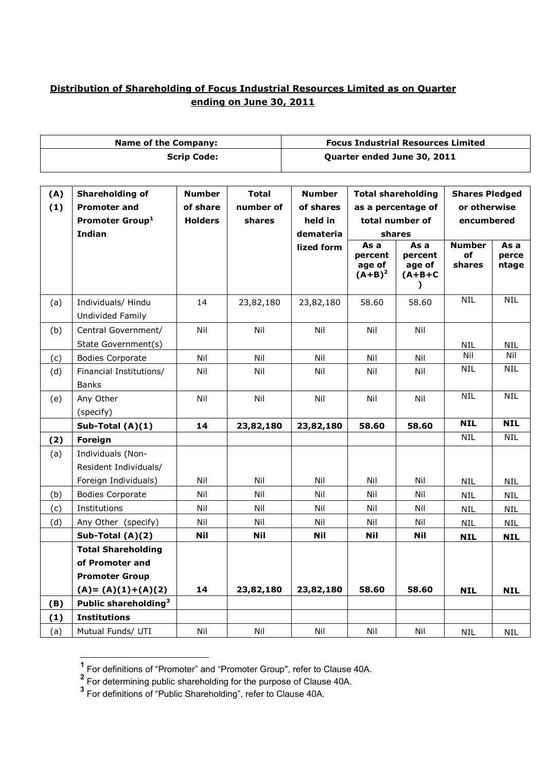## **Distribution of Shareholding of Focus Industrial Resources Limited as on Quarter ending on June 30, 2011**

| <b>Name of the Company:</b> |                                                                         |                                                                                                                                                                                                   | <b>Focus Industrial Resources Limited</b> |                         |                                                     |                                                                  |                               |                          |
|-----------------------------|-------------------------------------------------------------------------|---------------------------------------------------------------------------------------------------------------------------------------------------------------------------------------------------|-------------------------------------------|-------------------------|-----------------------------------------------------|------------------------------------------------------------------|-------------------------------|--------------------------|
| <b>Scrip Code:</b>          |                                                                         |                                                                                                                                                                                                   | Quarter ended June 30, 2011               |                         |                                                     |                                                                  |                               |                          |
| (A)<br>(1)                  | <b>Shareholding of</b><br><b>Promoter and</b><br><b>Promoter Group1</b> | <b>Number</b><br><b>Number</b><br><b>Total</b><br><b>Total shareholding</b><br>of share<br>number of<br>of shares<br>as a percentage of<br><b>Holders</b><br>held in<br>total number of<br>shares |                                           |                         | <b>Shares Pledged</b><br>or otherwise<br>encumbered |                                                                  |                               |                          |
|                             | <b>Indian</b>                                                           |                                                                                                                                                                                                   |                                           | demateria<br>lized form | As a<br>percent<br>age of<br>$(A+B)^2$              | shares<br>As a<br>percent<br>age of<br>$(A+B+C)$<br>$\mathbf{I}$ | <b>Number</b><br>of<br>shares | As a<br>perce<br>ntage   |
| (a)                         | Individuals/ Hindu<br>Undivided Family                                  | 14                                                                                                                                                                                                | 23,82,180                                 | 23,82,180               | 58.60                                               | 58.60                                                            | <b>NIL</b>                    | <b>NIL</b>               |
| (b)                         | Central Government/<br>State Government(s)                              | Nil                                                                                                                                                                                               | Nil                                       | Nil                     | Nil                                                 | Nil                                                              | <b>NIL</b>                    | <b>NIL</b>               |
| (c)                         | <b>Bodies Corporate</b>                                                 | Nil                                                                                                                                                                                               | Nil                                       | Nil                     | Nil                                                 | Nil                                                              | Nil                           | Nil                      |
| (d)                         | Financial Institutions/<br><b>Banks</b>                                 | Nil                                                                                                                                                                                               | Nil                                       | Nil                     | Nil                                                 | Nil                                                              | <b>NIL</b>                    | <b>NIL</b>               |
| (e)                         | Any Other<br>(specify)                                                  | Nil                                                                                                                                                                                               | Nil                                       | Nil                     | Nil                                                 | Nil                                                              | <b>NIL</b>                    | <b>NIL</b>               |
|                             | Sub-Total (A)(1)                                                        | 14                                                                                                                                                                                                | 23,82,180                                 | 23,82,180               | 58.60                                               | 58.60                                                            | <b>NIL</b>                    | <b>NIL</b>               |
| (2)                         | Foreign                                                                 |                                                                                                                                                                                                   |                                           |                         |                                                     |                                                                  | <b>NIL</b>                    | <b>NIL</b>               |
| (a)                         | Individuals (Non-<br>Resident Individuals/<br>Foreign Individuals)      | Nil                                                                                                                                                                                               | Nil                                       | Nil                     | Nil                                                 | Nil                                                              |                               |                          |
| (b)                         | <b>Bodies Corporate</b>                                                 | Nil                                                                                                                                                                                               | Nil                                       | Nil                     | Nil                                                 | Nil                                                              | <b>NIL</b>                    | <b>NIL</b>               |
| (c)                         | Institutions                                                            | Nil                                                                                                                                                                                               | Nil                                       | Nil                     | Nil                                                 | Nil                                                              | <b>NIL</b>                    | <b>NIL</b><br><b>NIL</b> |
| (d)                         | Any Other (specify)                                                     | Nil                                                                                                                                                                                               | Nil                                       | Nil                     | Nil                                                 | Nil                                                              | <b>NIL</b><br>NIL             | <b>NIL</b>               |
|                             | Sub-Total (A)(2)                                                        | <b>Nil</b>                                                                                                                                                                                        | <b>Nil</b>                                | <b>Nil</b>              | <b>Nil</b>                                          | <b>Nil</b>                                                       | <b>NIL</b>                    | <b>NIL</b>               |
|                             | <b>Total Shareholding</b>                                               |                                                                                                                                                                                                   |                                           |                         |                                                     |                                                                  |                               |                          |
|                             | of Promoter and                                                         |                                                                                                                                                                                                   |                                           |                         |                                                     |                                                                  |                               |                          |
|                             | <b>Promoter Group</b>                                                   |                                                                                                                                                                                                   |                                           |                         |                                                     |                                                                  |                               |                          |
|                             | $(A) = (A)(1)+(A)(2)$                                                   | 14                                                                                                                                                                                                | 23,82,180                                 | 23,82,180               | 58.60                                               | 58.60                                                            | <b>NIL</b>                    | <b>NIL</b>               |
| (B)                         | Public shareholding <sup>3</sup>                                        |                                                                                                                                                                                                   |                                           |                         |                                                     |                                                                  |                               |                          |
| (1)                         | <b>Institutions</b>                                                     |                                                                                                                                                                                                   |                                           |                         |                                                     |                                                                  |                               |                          |
| (a)                         | Mutual Funds/ UTI                                                       | Nil                                                                                                                                                                                               | Nil                                       | Nil                     | Nil                                                 | Nil                                                              | NIL                           | <b>NIL</b>               |

<sup>&</sup>lt;sup>1</sup> For definitions of "Promoter" and "Promoter Group", refer to Clause 40A.<br><sup>2</sup> For determining public shareholding for the purpose of Clause 40A.<br><sup>3</sup> For definitions of "Public Shareholding", refer to Clause 40A.

 $\overline{a}$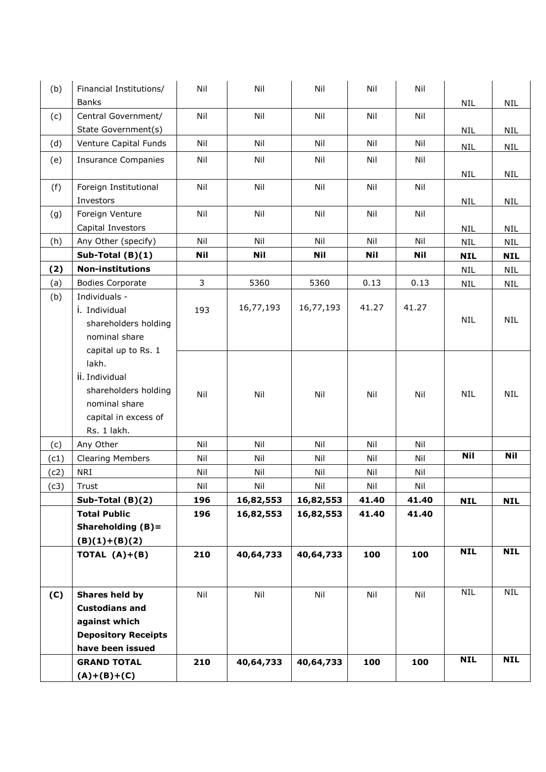| (b)  | Financial Institutions/<br><b>Banks</b> | Nil        | Nil        | Nil        | Nil        | Nil        | <b>NIL</b> | <b>NIL</b> |
|------|-----------------------------------------|------------|------------|------------|------------|------------|------------|------------|
| (c)  | Central Government/                     | Nil        | Nil        | Nil        | Nil        | Nil        |            |            |
|      | State Government(s)                     |            |            |            |            |            | <b>NIL</b> | <b>NIL</b> |
| (d)  | Venture Capital Funds                   | Nil        | Nil        | Nil        | Nil        | Nil        |            |            |
|      |                                         |            |            |            |            |            | <b>NIL</b> | <b>NIL</b> |
| (e)  | <b>Insurance Companies</b>              | Nil        | Nil        | Nil        | Nil        | Nil        |            |            |
|      |                                         |            |            |            |            |            | <b>NIL</b> | <b>NIL</b> |
| (f)  | Foreign Institutional                   | Nil        | Nil        | Nil        | Nil        | Nil        |            |            |
|      | Investors                               |            |            |            |            |            | <b>NIL</b> | <b>NIL</b> |
| (g)  | Foreign Venture                         | Nil        | Nil        | Nil        | Nil        | Nil        |            |            |
|      | Capital Investors                       |            |            |            |            |            | <b>NIL</b> | <b>NIL</b> |
| (h)  | Any Other (specify)                     | Nil        | Nil        | Nil        | Nil        | Nil        | <b>NIL</b> | <b>NIL</b> |
|      | Sub-Total $(B)(1)$                      | <b>Nil</b> | <b>Nil</b> | <b>Nil</b> | <b>Nil</b> | <b>Nil</b> | <b>NIL</b> | <b>NIL</b> |
| (2)  | <b>Non-institutions</b>                 |            |            |            |            |            | <b>NIL</b> | <b>NIL</b> |
| (a)  | <b>Bodies Corporate</b>                 | 3          | 5360       | 5360       | 0.13       | 0.13       | <b>NIL</b> | <b>NIL</b> |
| (b)  | Individuals -<br>i. Individual          | 193        | 16,77,193  | 16,77,193  | 41.27      | 41.27      |            |            |
|      | shareholders holding                    |            |            |            |            |            | <b>NIL</b> | <b>NIL</b> |
|      | nominal share                           |            |            |            |            |            |            |            |
|      | capital up to Rs. 1                     |            |            |            |            |            |            |            |
|      | lakh.                                   |            |            |            |            |            |            |            |
|      | ii. Individual                          |            |            |            |            |            |            |            |
|      | shareholders holding                    |            |            |            |            |            |            |            |
|      | nominal share                           | Nil        | Nil        | Nil        | Nil        | Nil        | <b>NIL</b> | <b>NIL</b> |
|      | capital in excess of                    |            |            |            |            |            |            |            |
|      | Rs. 1 lakh.                             |            |            |            |            |            |            |            |
| (c)  | Any Other                               | Nil        | Nil        | Nil        | Nil        | Nil        |            |            |
| (c1) | <b>Clearing Members</b>                 | Nil        | Nil        | Nil        | Nil        | Nil        | Nil        | <b>Nil</b> |
| (c2) | <b>NRI</b>                              | Nil        | Nil        | Nil        | Nil        | Nil        |            |            |
| (c3) | Trust                                   | Nil        | Nil        | Nil        | Nil        | Nil        |            |            |
|      | Sub-Total (B)(2)                        | 196        | 16,82,553  | 16,82,553  | 41.40      | 41.40      | <b>NIL</b> | <b>NIL</b> |
|      | <b>Total Public</b>                     | 196        | 16,82,553  | 16,82,553  | 41.40      | 41.40      |            |            |
|      | Shareholding $(B)$ =                    |            |            |            |            |            |            |            |
|      | $(B)(1)+(B)(2)$                         |            |            |            |            |            |            |            |
|      | TOTAL $(A)+(B)$                         | 210        | 40,64,733  | 40,64,733  | 100        | 100        | <b>NIL</b> | <b>NIL</b> |
|      |                                         |            |            |            |            |            |            |            |
|      |                                         |            |            |            |            |            |            |            |
| (C)  | Shares held by                          | Nil        | Nil        | Nil        | Nil        | Nil        | <b>NIL</b> | <b>NIL</b> |
|      | <b>Custodians and</b>                   |            |            |            |            |            |            |            |
|      | against which                           |            |            |            |            |            |            |            |
|      | <b>Depository Receipts</b>              |            |            |            |            |            |            |            |
|      | have been issued                        |            |            |            |            |            |            |            |
|      | <b>GRAND TOTAL</b>                      | 210        | 40,64,733  | 40,64,733  | 100        | 100        | <b>NIL</b> | <b>NIL</b> |
|      | $(A)+(B)+(C)$                           |            |            |            |            |            |            |            |
|      |                                         |            |            |            |            |            |            |            |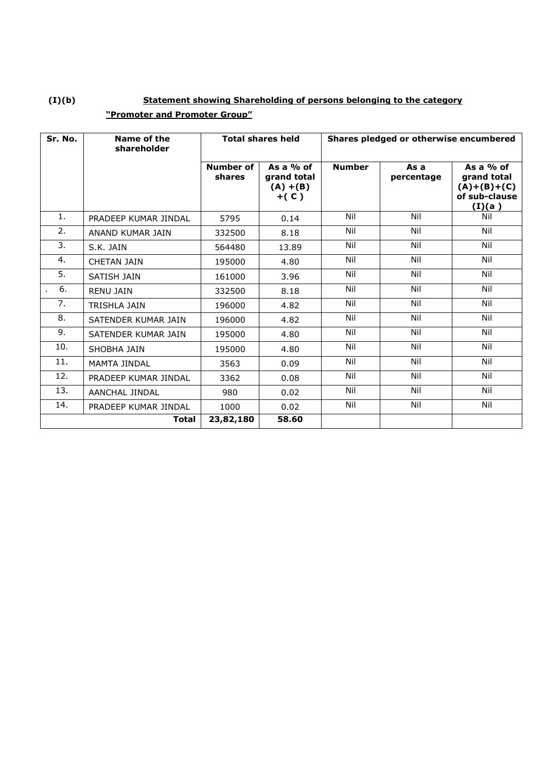# **(I)(b) Statement showing Shareholding of persons belonging to the category "Promoter and Promoter Group"**

| Sr. No. | Name of the<br>shareholder | <b>Total shares held</b>   |                                                     | Shares pledged or otherwise encumbered |                    |                                                                        |  |
|---------|----------------------------|----------------------------|-----------------------------------------------------|----------------------------------------|--------------------|------------------------------------------------------------------------|--|
|         |                            | <b>Number of</b><br>shares | As a $%$ of<br>grand total<br>$(A) + (B)$<br>$+(C)$ | <b>Number</b>                          | As a<br>percentage | As a $%$ of<br>grand total<br>$(A)+(B)+(C)$<br>of sub-clause<br>(I)(a) |  |
| 1.      | PRADEEP KUMAR JINDAL       | 5795                       | 0.14                                                | Nil                                    | Nil                | Nil                                                                    |  |
| 2.      | ANAND KUMAR JAIN           | 332500                     | 8.18                                                | Nil                                    | Nil                | Nil                                                                    |  |
| 3.      | S.K. JAIN                  | 564480                     | 13.89                                               | Nil                                    | Nil                | Nil                                                                    |  |
| 4.      | <b>CHETAN JAIN</b>         | 195000                     | 4.80                                                | Nil                                    | Nil                | Nil                                                                    |  |
| 5.      | SATISH JAIN                | 161000                     | 3.96                                                | Nil                                    | Nil                | Nil                                                                    |  |
| 6.      | <b>RENU JAIN</b>           | 332500                     | 8.18                                                | Nil                                    | Nil                | Nil                                                                    |  |
| 7.      | <b>TRISHLA JAIN</b>        | 196000                     | 4.82                                                | Nil                                    | Nil                | Nil                                                                    |  |
| 8.      | SATENDER KUMAR JAIN        | 196000                     | 4.82                                                | Nil                                    | Nil                | Nil                                                                    |  |
| 9.      | SATENDER KUMAR JAIN        | 195000                     | 4.80                                                | Nil                                    | Nil                | Nil                                                                    |  |
| 10.     | SHOBHA JAIN                | 195000                     | 4.80                                                | Nil                                    | Nil                | Nil                                                                    |  |
| 11.     | MAMTA JINDAL               | 3563                       | 0.09                                                | Nil                                    | Nil                | Nil                                                                    |  |
| 12.     | PRADEEP KUMAR JINDAL       | 3362                       | 0.08                                                | Nil                                    | Nil                | Nil                                                                    |  |
| 13.     | AANCHAL JINDAL             | 980                        | 0.02                                                | Nil                                    | Nil                | Nil                                                                    |  |
| 14.     | PRADEEP KUMAR JINDAL       | 1000                       | 0.02                                                | Nil                                    | Nil                | Nil                                                                    |  |
|         | <b>Total</b>               | 23,82,180                  | 58.60                                               |                                        |                    |                                                                        |  |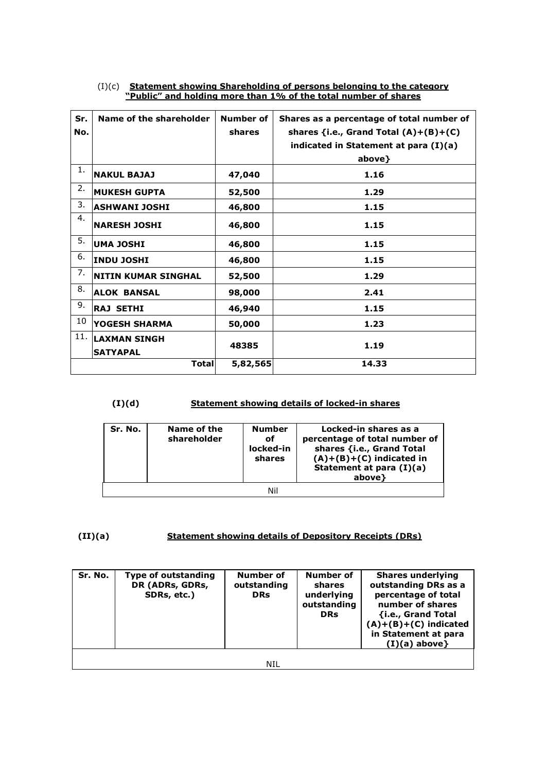| Sr.<br>No. | Name of the shareholder                | Number of<br>shares | Shares as a percentage of total number of<br>shares $\{i.e.,$ Grand Total $(A)+(B)+(C)$<br>indicated in Statement at para $(I)(a)$<br>above} |
|------------|----------------------------------------|---------------------|----------------------------------------------------------------------------------------------------------------------------------------------|
| 1.         | <b>NAKUL BAJAJ</b>                     | 47,040              | 1.16                                                                                                                                         |
| 2.         | <b>MUKESH GUPTA</b>                    | 52,500              | 1.29                                                                                                                                         |
| 3.         | ASHWANI JOSHI                          | 46,800              | 1.15                                                                                                                                         |
| 4.         | <b> NARESH JOSHI</b>                   | 46,800              | 1.15                                                                                                                                         |
| 5.         | UMA JOSHI                              | 46,800              | 1.15                                                                                                                                         |
| 6.         | <b>INDU JOSHI</b>                      | 46,800              | 1.15                                                                                                                                         |
| 7.         | <b>NITIN KUMAR SINGHAL</b>             | 52,500              | 1.29                                                                                                                                         |
| 8.         | <b>ALOK BANSAL</b>                     | 98,000              | 2.41                                                                                                                                         |
| 9.         | <b>RAJ SETHI</b>                       | 46,940              | 1.15                                                                                                                                         |
| 10         | YOGESH SHARMA                          | 50,000              | 1.23                                                                                                                                         |
| 11.        | <b>LAXMAN SINGH</b><br><b>SATYAPAL</b> | 48385               | 1.19                                                                                                                                         |
|            | <b>Total</b>                           | 5,82,565            | 14.33                                                                                                                                        |

#### (I)(c) **Statement showing Shareholding of persons belonging to the category "Public" and holding more than 1% of the total number of shares**

#### **(I)(d) Statement showing details of locked-in shares**

| Sr. No. | Name of the<br>shareholder | <b>Number</b><br>οf<br>locked-in<br>shares | Locked-in shares as a<br>percentage of total number of<br>shares {i.e., Grand Total<br>$(A)+(B)+(C)$ indicated in<br>Statement at para $(I)(a)$<br>above} |  |  |  |
|---------|----------------------------|--------------------------------------------|-----------------------------------------------------------------------------------------------------------------------------------------------------------|--|--|--|
| Ni      |                            |                                            |                                                                                                                                                           |  |  |  |

### **(II)(a) Statement showing details of Depository Receipts (DRs)**

| Sr. No. | <b>Type of outstanding</b><br>DR (ADRs, GDRs,<br>SDRs, etc.) | Number of<br>outstanding<br><b>DRs</b> | Number of<br>shares<br>underlying<br>outstanding<br><b>DRs</b> | <b>Shares underlying</b><br>outstanding DRs as a<br>percentage of total<br>number of shares<br>{i.e., Grand Total<br>$(A)+(B)+(C)$ indicated<br>in Statement at para<br>$(I)(a)$ above} |
|---------|--------------------------------------------------------------|----------------------------------------|----------------------------------------------------------------|-----------------------------------------------------------------------------------------------------------------------------------------------------------------------------------------|
|         |                                                              | NIL                                    |                                                                |                                                                                                                                                                                         |